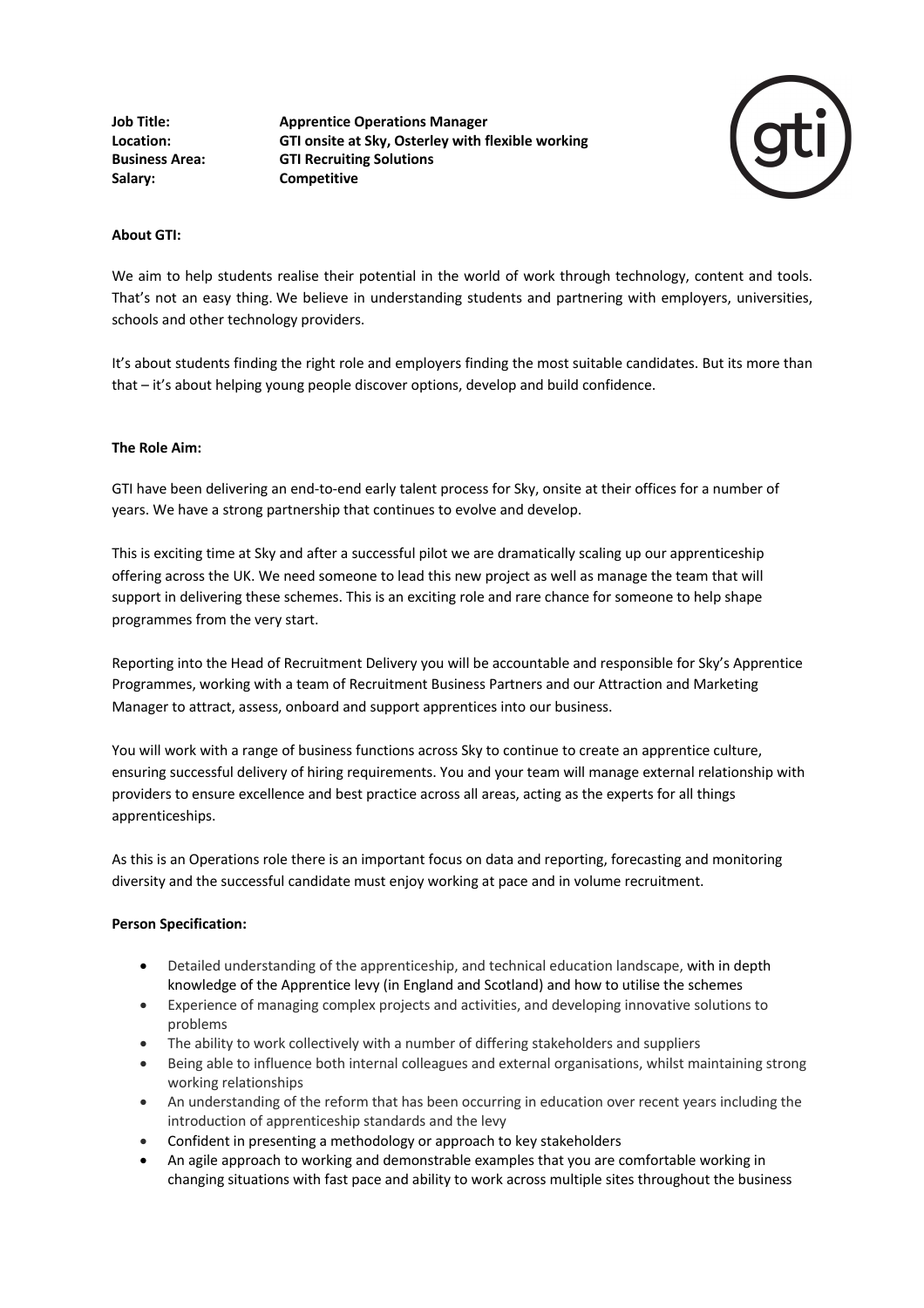**Job Title: Apprentice Operations Manager Location: GTI onsite at Sky, Osterley with flexible working Business Area: GTI Recruiting Solutions Salary: Competitive**



## **About GTI:**

We aim to help students realise their potential in the world of work through technology, content and tools. That's not an easy thing. We believe in understanding students and partnering with employers, universities, schools and other technology providers.

It's about students finding the right role and employers finding the most suitable candidates. But its more than that – it's about helping young people discover options, develop and build confidence.

## **The Role Aim:**

GTI have been delivering an end-to-end early talent process for Sky, onsite at their offices for a number of years. We have a strong partnership that continues to evolve and develop.

This is exciting time at Sky and after a successful pilot we are dramatically scaling up our apprenticeship offering across the UK. We need someone to lead this new project as well as manage the team that will support in delivering these schemes. This is an exciting role and rare chance for someone to help shape programmes from the very start.

Reporting into the Head of Recruitment Delivery you will be accountable and responsible for Sky's Apprentice Programmes, working with a team of Recruitment Business Partners and our Attraction and Marketing Manager to attract, assess, onboard and support apprentices into our business.

You will work with a range of business functions across Sky to continue to create an apprentice culture, ensuring successful delivery of hiring requirements. You and your team will manage external relationship with providers to ensure excellence and best practice across all areas, acting as the experts for all things apprenticeships.

As this is an Operations role there is an important focus on data and reporting, forecasting and monitoring diversity and the successful candidate must enjoy working at pace and in volume recruitment.

## **Person Specification:**

- Detailed understanding of the apprenticeship, and technical education landscape, with in depth knowledge of the Apprentice levy (in England and Scotland) and how to utilise the schemes
- Experience of managing complex projects and activities, and developing innovative solutions to problems
- The ability to work collectively with a number of differing stakeholders and suppliers
- Being able to influence both internal colleagues and external organisations, whilst maintaining strong working relationships
- An understanding of the reform that has been occurring in education over recent years including the introduction of apprenticeship standards and the levy
- Confident in presenting a methodology or approach to key stakeholders
- An agile approach to working and demonstrable examples that you are comfortable working in changing situations with fast pace and ability to work across multiple sites throughout the business